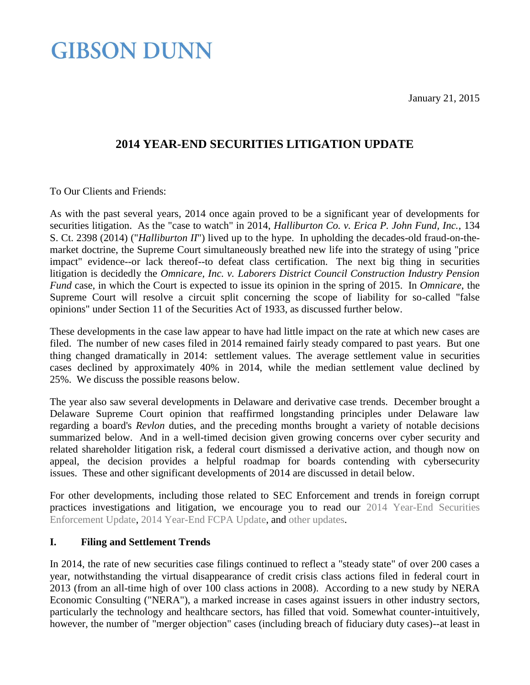January 21, 2015

### **GIBSON DUNN**

### **2014 YEAR-END SECURITIES LITIGATION UPDATE**

To Our Clients and Friends:

As with the past several years, 2014 once again proved to be a significant year of developments for securities litigation. As the "case to watch" in 2014, *Halliburton Co. v. Erica P. John Fund, Inc.*, 134 S. Ct. 2398 (2014) ("*Halliburton II*") lived up to the hype. In upholding the decades-old fraud-on-themarket doctrine, the Supreme Court simultaneously breathed new life into the strategy of using "price impact" evidence--or lack thereof--to defeat class certification. The next big thing in securities litigation is decidedly the *Omnicare, Inc. v. Laborers District Council Construction Industry Pension Fund* case, in which the Court is expected to issue its opinion in the spring of 2015. In *Omnicare*, the Supreme Court will resolve a circuit split concerning the scope of liability for so-called "false opinions" under Section 11 of the Securities Act of 1933, as discussed further below.

These developments in the case law appear to have had little impact on the rate at which new cases are filed. The number of new cases filed in 2014 remained fairly steady compared to past years. But one thing changed dramatically in 2014: settlement values. The average settlement value in securities cases declined by approximately 40% in 2014, while the median settlement value declined by 25%. We discuss the possible reasons below.

The year also saw several developments in Delaware and derivative case trends. December brought a Delaware Supreme Court opinion that reaffirmed longstanding principles under Delaware law regarding a board's *Revlon* duties, and the preceding months brought a variety of notable decisions summarized below. And in a well-timed decision given growing concerns over cyber security and related shareholder litigation risk, a federal court dismissed a derivative action, and though now on appeal, the decision provides a helpful roadmap for boards contending with cybersecurity issues. These and other significant developments of 2014 are discussed in detail below.

For other developments, including those related to SEC Enforcement and trends in foreign corrupt practices investigations and litigation, we encourage you to read our [2014 Year-End Securities](http://www.gibsondunn.com/publications/Pages/2014-Year-End-Securities-Enforcement-Update.aspx)  [Enforcement Update,](http://www.gibsondunn.com/publications/Pages/2014-Year-End-Securities-Enforcement-Update.aspx) [2014 Year-End FCPA Update,](http://www.gibsondunn.com/publications/Pages/2014-Year-End-FCPA-Update.aspx) and [other updates.](http://www.gibsondunn.com/Search/Pages/PublicationsSearch.aspx?k=(Publications)&start1=0)

### **I. Filing and Settlement Trends**

In 2014, the rate of new securities case filings continued to reflect a "steady state" of over 200 cases a year, notwithstanding the virtual disappearance of credit crisis class actions filed in federal court in 2013 (from an all-time high of over 100 class actions in 2008). According to a new study by NERA Economic Consulting ("NERA"), a marked increase in cases against issuers in other industry sectors, particularly the technology and healthcare sectors, has filled that void. Somewhat counter-intuitively, however, the number of "merger objection" cases (including breach of fiduciary duty cases)--at least in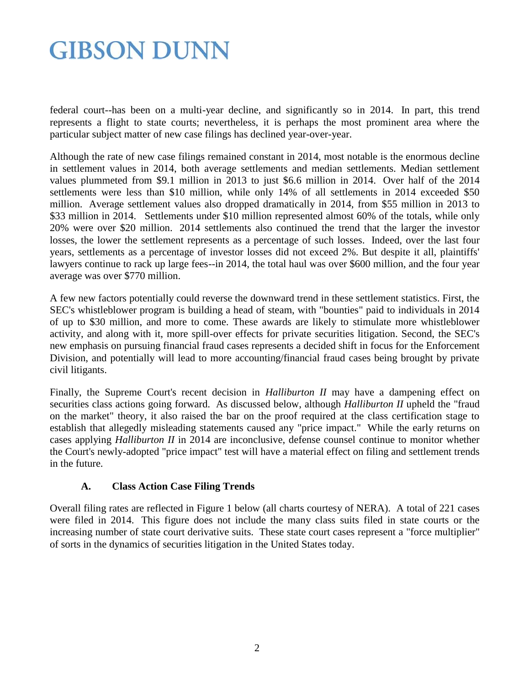federal court--has been on a multi-year decline, and significantly so in 2014. In part, this trend represents a flight to state courts; nevertheless, it is perhaps the most prominent area where the particular subject matter of new case filings has declined year-over-year.

Although the rate of new case filings remained constant in 2014, most notable is the enormous decline in settlement values in 2014, both average settlements and median settlements. Median settlement values plummeted from \$9.1 million in 2013 to just \$6.6 million in 2014. Over half of the 2014 settlements were less than \$10 million, while only 14% of all settlements in 2014 exceeded \$50 million. Average settlement values also dropped dramatically in 2014, from \$55 million in 2013 to \$33 million in 2014. Settlements under \$10 million represented almost 60% of the totals, while only 20% were over \$20 million. 2014 settlements also continued the trend that the larger the investor losses, the lower the settlement represents as a percentage of such losses. Indeed, over the last four years, settlements as a percentage of investor losses did not exceed 2%. But despite it all, plaintiffs' lawyers continue to rack up large fees--in 2014, the total haul was over \$600 million, and the four year average was over \$770 million.

A few new factors potentially could reverse the downward trend in these settlement statistics. First, the SEC's whistleblower program is building a head of steam, with "bounties" paid to individuals in 2014 of up to \$30 million, and more to come. These awards are likely to stimulate more whistleblower activity, and along with it, more spill-over effects for private securities litigation. Second, the SEC's new emphasis on pursuing financial fraud cases represents a decided shift in focus for the Enforcement Division, and potentially will lead to more accounting/financial fraud cases being brought by private civil litigants.

Finally, the Supreme Court's recent decision in *Halliburton II* may have a dampening effect on securities class actions going forward. As discussed below, although *Halliburton II* upheld the "fraud on the market" theory, it also raised the bar on the proof required at the class certification stage to establish that allegedly misleading statements caused any "price impact." While the early returns on cases applying *Halliburton II* in 2014 are inconclusive, defense counsel continue to monitor whether the Court's newly-adopted "price impact" test will have a material effect on filing and settlement trends in the future.

### **A. Class Action Case Filing Trends**

Overall filing rates are reflected in Figure 1 below (all charts courtesy of NERA). A total of 221 cases were filed in 2014. This figure does not include the many class suits filed in state courts or the increasing number of state court derivative suits. These state court cases represent a "force multiplier" of sorts in the dynamics of securities litigation in the United States today.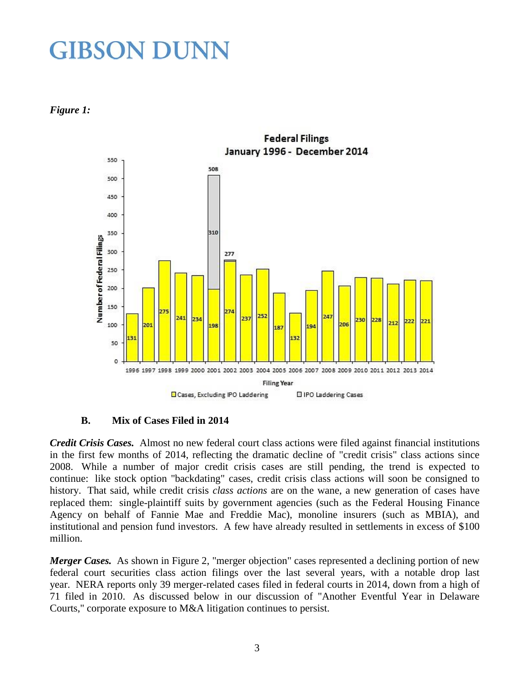*Figure 1:*



#### **B. Mix of Cases Filed in 2014**

*Credit Crisis Cases.* Almost no new federal court class actions were filed against financial institutions in the first few months of 2014, reflecting the dramatic decline of "credit crisis" class actions since 2008. While a number of major credit crisis cases are still pending, the trend is expected to continue: like stock option "backdating" cases, credit crisis class actions will soon be consigned to history. That said, while credit crisis *class actions* are on the wane, a new generation of cases have replaced them: single-plaintiff suits by government agencies (such as the Federal Housing Finance Agency on behalf of Fannie Mae and Freddie Mac), monoline insurers (such as MBIA), and institutional and pension fund investors. A few have already resulted in settlements in excess of \$100 million.

*Merger Cases.* As shown in Figure 2, "merger objection" cases represented a declining portion of new federal court securities class action filings over the last several years, with a notable drop last year. NERA reports only 39 merger-related cases filed in federal courts in 2014, down from a high of 71 filed in 2010. As discussed below in our discussion of "Another Eventful Year in Delaware Courts," corporate exposure to M&A litigation continues to persist.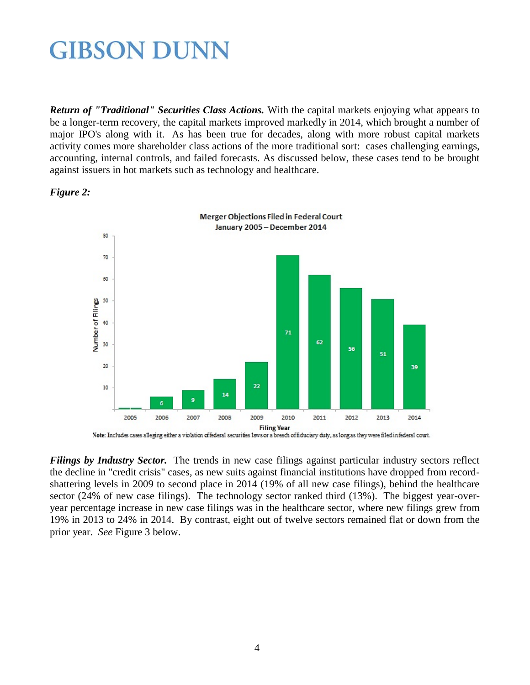*Return of "Traditional" Securities Class Actions.* With the capital markets enjoying what appears to be a longer-term recovery, the capital markets improved markedly in 2014, which brought a number of major IPO's along with it. As has been true for decades, along with more robust capital markets activity comes more shareholder class actions of the more traditional sort: cases challenging earnings, accounting, internal controls, and failed forecasts. As discussed below, these cases tend to be brought against issuers in hot markets such as technology and healthcare.



*Figure 2:*

Note: Includes cases alleging either a violation offederal securities faws or a breach offiductary duty, as long as they were filed in federal court.

*Filings by Industry Sector.* The trends in new case filings against particular industry sectors reflect the decline in "credit crisis" cases, as new suits against financial institutions have dropped from recordshattering levels in 2009 to second place in 2014 (19% of all new case filings), behind the healthcare sector (24% of new case filings). The technology sector ranked third (13%). The biggest year-overyear percentage increase in new case filings was in the healthcare sector, where new filings grew from 19% in 2013 to 24% in 2014. By contrast, eight out of twelve sectors remained flat or down from the prior year. *See* Figure 3 below.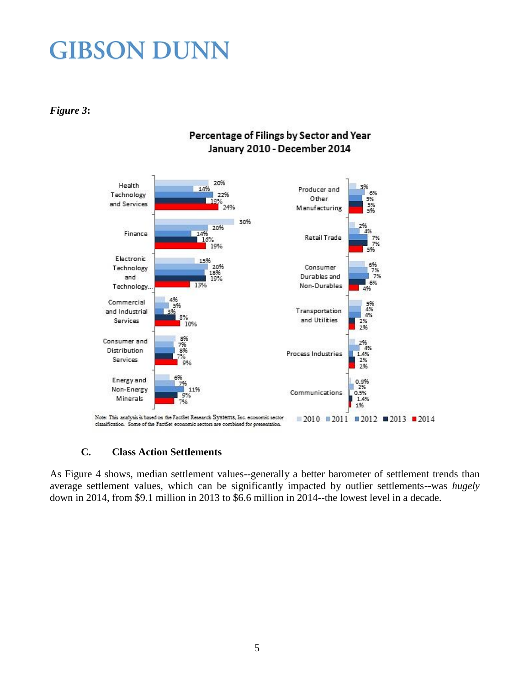### *Figure 3***:**



### Percentage of Filings by Sector and Year January 2010 - December 2014

### **C. Class Action Settlements**

As Figure 4 shows, median settlement values--generally a better barometer of settlement trends than average settlement values, which can be significantly impacted by outlier settlements--was *hugely*  down in 2014, from \$9.1 million in 2013 to \$6.6 million in 2014--the lowest level in a decade.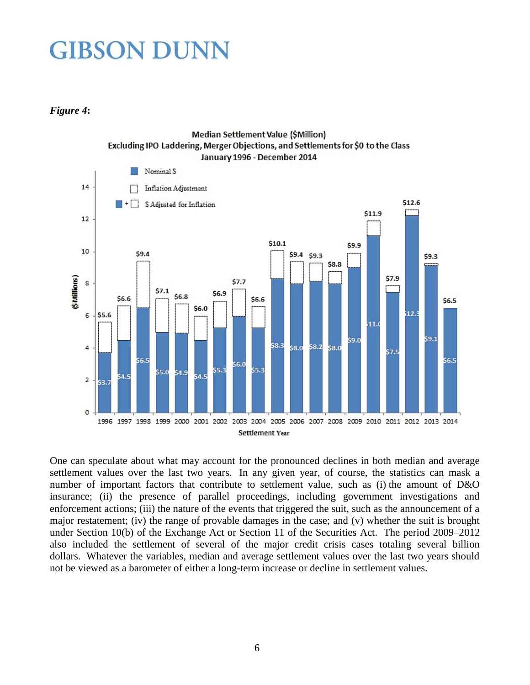#### *Figure 4***:**



One can speculate about what may account for the pronounced declines in both median and average settlement values over the last two years. In any given year, of course, the statistics can mask a number of important factors that contribute to settlement value, such as (i) the amount of D&O insurance; (ii) the presence of parallel proceedings, including government investigations and enforcement actions; (iii) the nature of the events that triggered the suit, such as the announcement of a major restatement; (iv) the range of provable damages in the case; and (v) whether the suit is brought under Section 10(b) of the Exchange Act or Section 11 of the Securities Act. The period 2009–2012 also included the settlement of several of the major credit crisis cases totaling several billion dollars. Whatever the variables, median and average settlement values over the last two years should not be viewed as a barometer of either a long-term increase or decline in settlement values.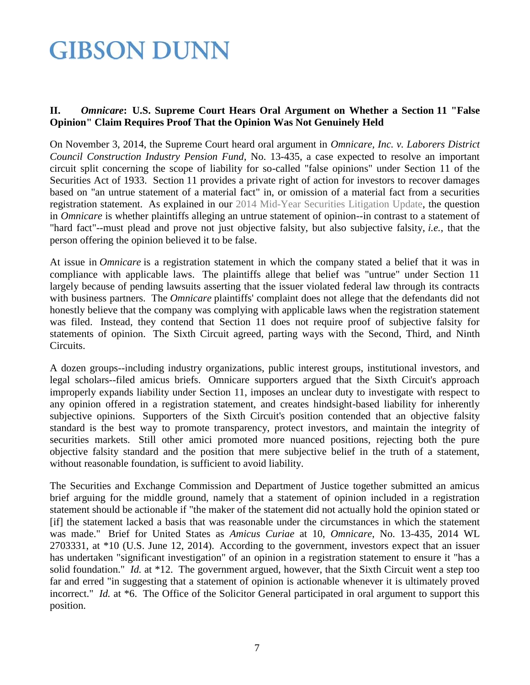### **II.** *Omnicare***: U.S. Supreme Court Hears Oral Argument on Whether a Section 11 "False Opinion" Claim Requires Proof That the Opinion Was Not Genuinely Held**

On November 3, 2014, the Supreme Court heard oral argument in *Omnicare, Inc. v. Laborers District Council Construction Industry Pension Fund*, No. 13-435, a case expected to resolve an important circuit split concerning the scope of liability for so-called "false opinions" under Section 11 of the Securities Act of 1933. Section 11 provides a private right of action for investors to recover damages based on "an untrue statement of a material fact" in, or omission of a material fact from a securities registration statement. As explained in our [2014 Mid-Year Securities Litigation Update,](http://www.gibsondunn.com/publications/pages/2014-Mid-Year-Securities-Litigation-Update.aspx) the question in *Omnicare* is whether plaintiffs alleging an untrue statement of opinion--in contrast to a statement of "hard fact"--must plead and prove not just objective falsity, but also subjective falsity, *i.e.*, that the person offering the opinion believed it to be false.

At issue in *Omnicare* is a registration statement in which the company stated a belief that it was in compliance with applicable laws. The plaintiffs allege that belief was "untrue" under Section 11 largely because of pending lawsuits asserting that the issuer violated federal law through its contracts with business partners. The *Omnicare* plaintiffs' complaint does not allege that the defendants did not honestly believe that the company was complying with applicable laws when the registration statement was filed. Instead, they contend that Section 11 does not require proof of subjective falsity for statements of opinion. The Sixth Circuit agreed, parting ways with the Second, Third, and Ninth Circuits.

A dozen groups--including industry organizations, public interest groups, institutional investors, and legal scholars--filed amicus briefs. Omnicare supporters argued that the Sixth Circuit's approach improperly expands liability under Section 11, imposes an unclear duty to investigate with respect to any opinion offered in a registration statement, and creates hindsight-based liability for inherently subjective opinions. Supporters of the Sixth Circuit's position contended that an objective falsity standard is the best way to promote transparency, protect investors, and maintain the integrity of securities markets. Still other amici promoted more nuanced positions, rejecting both the pure objective falsity standard and the position that mere subjective belief in the truth of a statement, without reasonable foundation, is sufficient to avoid liability.

The Securities and Exchange Commission and Department of Justice together submitted an amicus brief arguing for the middle ground, namely that a statement of opinion included in a registration statement should be actionable if "the maker of the statement did not actually hold the opinion stated or [if] the statement lacked a basis that was reasonable under the circumstances in which the statement was made." Brief for United States as *Amicus Curiae* at 10, *Omnicare*, No. 13-435, 2014 WL 2703331, at \*10 (U.S. June 12, 2014). According to the government, investors expect that an issuer has undertaken "significant investigation" of an opinion in a registration statement to ensure it "has a solid foundation." *Id.* at \*12. The government argued, however, that the Sixth Circuit went a step too far and erred "in suggesting that a statement of opinion is actionable whenever it is ultimately proved incorrect." *Id.* at \*6. The Office of the Solicitor General participated in oral argument to support this position.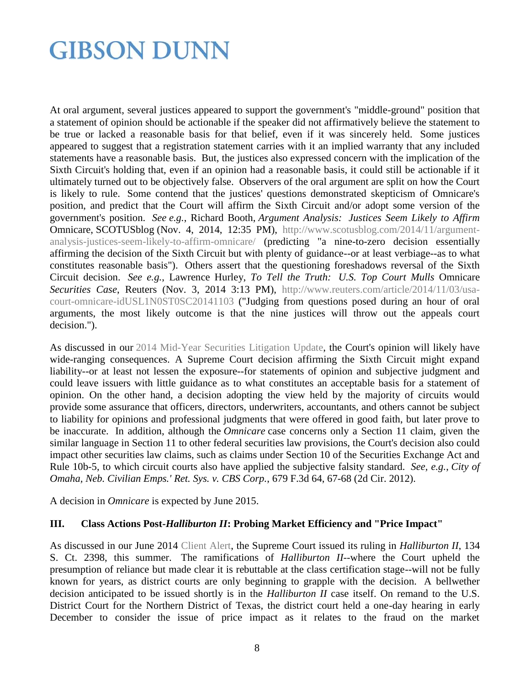At oral argument, several justices appeared to support the government's "middle-ground" position that a statement of opinion should be actionable if the speaker did not affirmatively believe the statement to be true or lacked a reasonable basis for that belief, even if it was sincerely held. Some justices appeared to suggest that a registration statement carries with it an implied warranty that any included statements have a reasonable basis. But, the justices also expressed concern with the implication of the Sixth Circuit's holding that, even if an opinion had a reasonable basis, it could still be actionable if it ultimately turned out to be objectively false. Observers of the oral argument are split on how the Court is likely to rule. Some contend that the justices' questions demonstrated skepticism of Omnicare's position, and predict that the Court will affirm the Sixth Circuit and/or adopt some version of the government's position. *See e.g.*, Richard Booth, *Argument Analysis: Justices Seem Likely to Affirm*  Omnicare, SCOTUSblog (Nov. 4, 2014, 12:35 PM), [http://www.scotusblog.com/2014/11/argument](http://www.scotusblog.com/2014/11/argument-analysis-justices-seem-likely-to-affirm-omnicare/)[analysis-justices-seem-likely-to-affirm-omnicare/](http://www.scotusblog.com/2014/11/argument-analysis-justices-seem-likely-to-affirm-omnicare/) (predicting "a nine-to-zero decision essentially affirming the decision of the Sixth Circuit but with plenty of guidance--or at least verbiage--as to what constitutes reasonable basis"). Others assert that the questioning foreshadows reversal of the Sixth Circuit decision. *See e.g.*, Lawrence Hurley, *To Tell the Truth: U.S. Top Court Mulls* Omnicare *Securities Case*, Reuters (Nov. 3, 2014 3:13 PM), [http://www.reuters.com/article/2014/11/03/usa](http://www.reuters.com/article/2014/11/03/usa-court-omnicare-idUSL1N0ST0SC20141103)[court-omnicare-idUSL1N0ST0SC20141103](http://www.reuters.com/article/2014/11/03/usa-court-omnicare-idUSL1N0ST0SC20141103) ("Judging from questions posed during an hour of oral arguments, the most likely outcome is that the nine justices will throw out the appeals court decision.").

As discussed in our [2014 Mid-Year Securities Litigation Update,](http://www.gibsondunn.com/publications/pages/2014-Mid-Year-Securities-Litigation-Update.aspx) the Court's opinion will likely have wide-ranging consequences. A Supreme Court decision affirming the Sixth Circuit might expand liability--or at least not lessen the exposure--for statements of opinion and subjective judgment and could leave issuers with little guidance as to what constitutes an acceptable basis for a statement of opinion. On the other hand, a decision adopting the view held by the majority of circuits would provide some assurance that officers, directors, underwriters, accountants, and others cannot be subject to liability for opinions and professional judgments that were offered in good faith, but later prove to be inaccurate. In addition, although the *Omnicare* case concerns only a Section 11 claim, given the similar language in Section 11 to other federal securities law provisions, the Court's decision also could impact other securities law claims, such as claims under Section 10 of the Securities Exchange Act and Rule 10b-5, to which circuit courts also have applied the subjective falsity standard. *See, e.g.*, *City of Omaha, Neb. Civilian Emps.' Ret. Sys. v. CBS Corp.*, 679 F.3d 64, 67-68 (2d Cir. 2012).

A decision in *Omnicare* is expected by June 2015.

#### **III. Class Actions Post-***Halliburton II***: Probing Market Efficiency and "Price Impact"**

As discussed in our June 2014 [Client Alert,](http://www.gibsondunn.com/publications/Pages/Supreme-Court-Enforces-Price-Impact-Requirement-for-Securities-Fraud-Class%20Actions.aspx) the Supreme Court issued its ruling in *Halliburton II*, 134 S. Ct. 2398, this summer. The ramifications of *Halliburton II*--where the Court upheld the presumption of reliance but made clear it is rebuttable at the class certification stage--will not be fully known for years, as district courts are only beginning to grapple with the decision. A bellwether decision anticipated to be issued shortly is in the *Halliburton II* case itself. On remand to the U.S. District Court for the Northern District of Texas, the district court held a one-day hearing in early December to consider the issue of price impact as it relates to the fraud on the market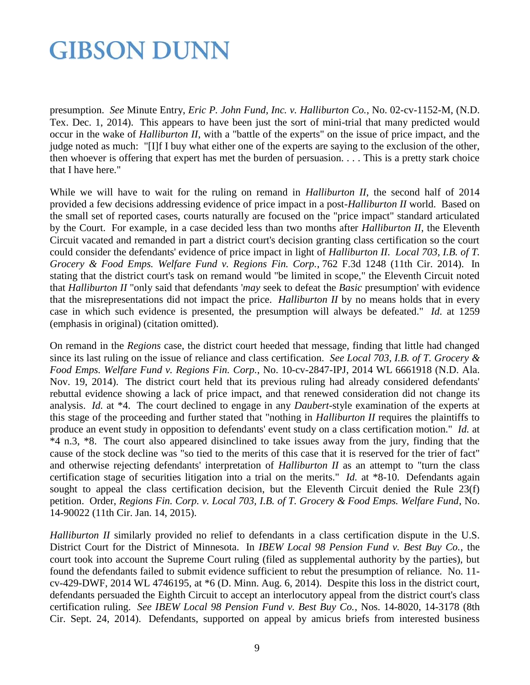presumption. *See* Minute Entry, *Eric P. John Fund, Inc. v. Halliburton Co.*, No. 02-cv-1152-M, (N.D. Tex. Dec. 1, 2014). This appears to have been just the sort of mini-trial that many predicted would occur in the wake of *Halliburton II*, with a "battle of the experts" on the issue of price impact, and the judge noted as much: "[I]f I buy what either one of the experts are saying to the exclusion of the other, then whoever is offering that expert has met the burden of persuasion. . . . This is a pretty stark choice that I have here."

While we will have to wait for the ruling on remand in *Halliburton II*, the second half of 2014 provided a few decisions addressing evidence of price impact in a post-*Halliburton II* world. Based on the small set of reported cases, courts naturally are focused on the "price impact" standard articulated by the Court. For example, in a case decided less than two months after *Halliburton II*, the Eleventh Circuit vacated and remanded in part a district court's decision granting class certification so the court could consider the defendants' evidence of price impact in light of *Halliburton II*. *Local 703, I.B. of T. Grocery & Food Emps. Welfare Fund v. Regions Fin. Corp.*, 762 F.3d 1248 (11th Cir. 2014). In stating that the district court's task on remand would "be limited in scope," the Eleventh Circuit noted that *Halliburton II* "only said that defendants '*may* seek to defeat the *Basic* presumption' with evidence that the misrepresentations did not impact the price. *Halliburton II* by no means holds that in every case in which such evidence is presented, the presumption will always be defeated." *Id*. at 1259 (emphasis in original) (citation omitted).

On remand in the *Regions* case, the district court heeded that message, finding that little had changed since its last ruling on the issue of reliance and class certification. *See Local 703, I.B. of T. Grocery & Food Emps. Welfare Fund v. Regions Fin. Corp.*, No. 10-cv-2847-IPJ, 2014 WL 6661918 (N.D. Ala. Nov. 19, 2014). The district court held that its previous ruling had already considered defendants' rebuttal evidence showing a lack of price impact, and that renewed consideration did not change its analysis. *Id.* at \*4. The court declined to engage in any *Daubert*-style examination of the experts at this stage of the proceeding and further stated that "nothing in *Halliburton II* requires the plaintiffs to produce an event study in opposition to defendants' event study on a class certification motion." *Id.* at \*4 n.3, \*8. The court also appeared disinclined to take issues away from the jury, finding that the cause of the stock decline was "so tied to the merits of this case that it is reserved for the trier of fact" and otherwise rejecting defendants' interpretation of *Halliburton II* as an attempt to "turn the class certification stage of securities litigation into a trial on the merits." *Id.* at \*8-10. Defendants again sought to appeal the class certification decision, but the Eleventh Circuit denied the Rule 23(f) petition. Order, *Regions Fin. Corp. v. Local 703, I.B. of T. Grocery & Food Emps. Welfare Fund*, No. 14-90022 (11th Cir. Jan. 14, 2015).

*Halliburton II* similarly provided no relief to defendants in a class certification dispute in the U.S. District Court for the District of Minnesota. In *IBEW Local 98 Pension Fund v. Best Buy Co.*, the court took into account the Supreme Court ruling (filed as supplemental authority by the parties), but found the defendants failed to submit evidence sufficient to rebut the presumption of reliance. No. 11 cv-429-DWF, 2014 WL 4746195, at \*6 (D. Minn. Aug. 6, 2014). Despite this loss in the district court, defendants persuaded the Eighth Circuit to accept an interlocutory appeal from the district court's class certification ruling. *See IBEW Local 98 Pension Fund v. Best Buy Co.*, Nos. 14-8020, 14-3178 (8th Cir. Sept. 24, 2014). Defendants, supported on appeal by amicus briefs from interested business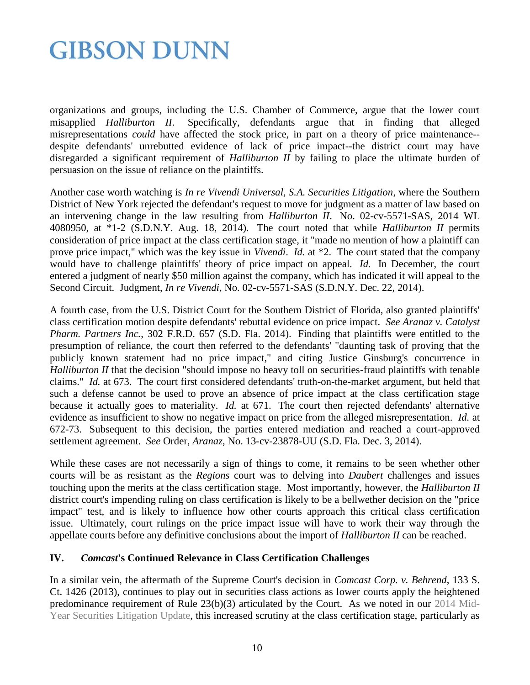organizations and groups, including the U.S. Chamber of Commerce, argue that the lower court misapplied *Halliburton II*. Specifically, defendants argue that in finding that alleged misrepresentations *could* have affected the stock price, in part on a theory of price maintenance- despite defendants' unrebutted evidence of lack of price impact--the district court may have disregarded a significant requirement of *Halliburton II* by failing to place the ultimate burden of persuasion on the issue of reliance on the plaintiffs.

Another case worth watching is *In re Vivendi Universal, S.A. Securities Litigation*, where the Southern District of New York rejected the defendant's request to move for judgment as a matter of law based on an intervening change in the law resulting from *Halliburton II*. No. 02-cv-5571-SAS, 2014 WL 4080950, at \*1-2 (S.D.N.Y. Aug. 18, 2014). The court noted that while *Halliburton II* permits consideration of price impact at the class certification stage, it "made no mention of how a plaintiff can prove price impact," which was the key issue in *Vivendi*. *Id.* at \*2. The court stated that the company would have to challenge plaintiffs' theory of price impact on appeal. *Id.* In December, the court entered a judgment of nearly \$50 million against the company, which has indicated it will appeal to the Second Circuit. Judgment, *In re Vivendi*, No. 02-cv-5571-SAS (S.D.N.Y. Dec. 22, 2014).

A fourth case, from the U.S. District Court for the Southern District of Florida, also granted plaintiffs' class certification motion despite defendants' rebuttal evidence on price impact. *See Aranaz v. Catalyst Pharm. Partners Inc.*, 302 F.R.D. 657 (S.D. Fla. 2014). Finding that plaintiffs were entitled to the presumption of reliance, the court then referred to the defendants' "daunting task of proving that the publicly known statement had no price impact," and citing Justice Ginsburg's concurrence in *Halliburton II* that the decision "should impose no heavy toll on securities-fraud plaintiffs with tenable claims." *Id.* at 673. The court first considered defendants' truth-on-the-market argument, but held that such a defense cannot be used to prove an absence of price impact at the class certification stage because it actually goes to materiality. *Id.* at 671. The court then rejected defendants' alternative evidence as insufficient to show no negative impact on price from the alleged misrepresentation. *Id.* at 672-73. Subsequent to this decision, the parties entered mediation and reached a court-approved settlement agreement. *See* Order, *Aranaz*, No. 13-cv-23878-UU (S.D. Fla. Dec. 3, 2014).

While these cases are not necessarily a sign of things to come, it remains to be seen whether other courts will be as resistant as the *Regions* court was to delving into *Daubert* challenges and issues touching upon the merits at the class certification stage. Most importantly, however, the *Halliburton II* district court's impending ruling on class certification is likely to be a bellwether decision on the "price impact" test, and is likely to influence how other courts approach this critical class certification issue. Ultimately, court rulings on the price impact issue will have to work their way through the appellate courts before any definitive conclusions about the import of *Halliburton II* can be reached.

#### **IV.** *Comcast***'s Continued Relevance in Class Certification Challenges**

In a similar vein, the aftermath of the Supreme Court's decision in *Comcast Corp. v. Behrend*, 133 S. Ct. 1426 (2013), continues to play out in securities class actions as lower courts apply the heightened predominance requirement of Rule 23(b)(3) articulated by the Court. As we noted in our [2014 Mid-](http://www.gibsondunn.com/publications/pages/2014-Mid-Year-Securities-Litigation-Update.aspx)[Year Securities Litigation Update,](http://www.gibsondunn.com/publications/pages/2014-Mid-Year-Securities-Litigation-Update.aspx) this increased scrutiny at the class certification stage, particularly as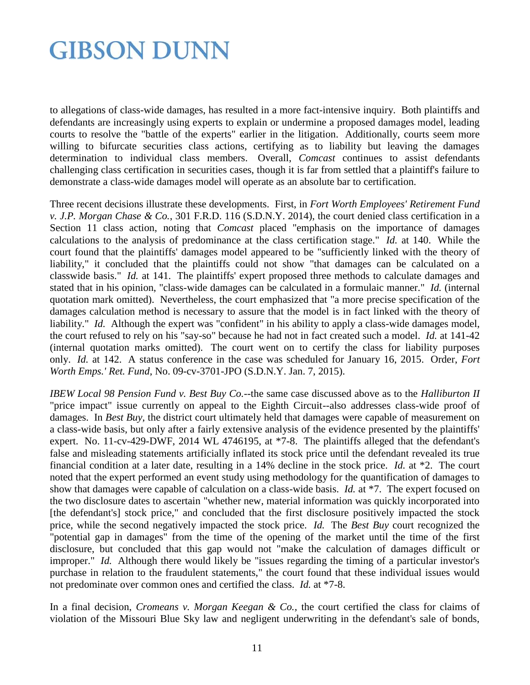to allegations of class-wide damages, has resulted in a more fact-intensive inquiry. Both plaintiffs and defendants are increasingly using experts to explain or undermine a proposed damages model, leading courts to resolve the "battle of the experts" earlier in the litigation. Additionally, courts seem more willing to bifurcate securities class actions, certifying as to liability but leaving the damages determination to individual class members. Overall, *Comcast* continues to assist defendants challenging class certification in securities cases, though it is far from settled that a plaintiff's failure to demonstrate a class-wide damages model will operate as an absolute bar to certification.

Three recent decisions illustrate these developments. First, in *Fort Worth Employees' Retirement Fund v. J.P. Morgan Chase & Co.*, 301 F.R.D. 116 (S.D.N.Y. 2014), the court denied class certification in a Section 11 class action, noting that *Comcast* placed "emphasis on the importance of damages calculations to the analysis of predominance at the class certification stage." *Id.* at 140. While the court found that the plaintiffs' damages model appeared to be "sufficiently linked with the theory of liability," it concluded that the plaintiffs could not show "that damages can be calculated on a classwide basis." *Id.* at 141. The plaintiffs' expert proposed three methods to calculate damages and stated that in his opinion, "class-wide damages can be calculated in a formulaic manner." *Id.* (internal quotation mark omitted). Nevertheless, the court emphasized that "a more precise specification of the damages calculation method is necessary to assure that the model is in fact linked with the theory of liability." *Id.* Although the expert was "confident" in his ability to apply a class-wide damages model, the court refused to rely on his "say-so" because he had not in fact created such a model. *Id.* at 141-42 (internal quotation marks omitted). The court went on to certify the class for liability purposes only. *Id.* at 142. A status conference in the case was scheduled for January 16, 2015. Order, *Fort Worth Emps.' Ret. Fund*, No. 09-cv-3701-JPO (S.D.N.Y. Jan. 7, 2015).

*IBEW Local 98 Pension Fund v. Best Buy Co.*--the same case discussed above as to the *Halliburton II* "price impact" issue currently on appeal to the Eighth Circuit--also addresses class-wide proof of damages. In *Best Buy*, the district court ultimately held that damages were capable of measurement on a class-wide basis, but only after a fairly extensive analysis of the evidence presented by the plaintiffs' expert. No. 11-cv-429-DWF, 2014 WL 4746195, at \*7-8. The plaintiffs alleged that the defendant's false and misleading statements artificially inflated its stock price until the defendant revealed its true financial condition at a later date, resulting in a 14% decline in the stock price. *Id.* at \*2. The court noted that the expert performed an event study using methodology for the quantification of damages to show that damages were capable of calculation on a class-wide basis. *Id.* at \*7. The expert focused on the two disclosure dates to ascertain "whether new, material information was quickly incorporated into [the defendant's] stock price," and concluded that the first disclosure positively impacted the stock price, while the second negatively impacted the stock price. *Id.* The *Best Buy* court recognized the "potential gap in damages" from the time of the opening of the market until the time of the first disclosure, but concluded that this gap would not "make the calculation of damages difficult or improper." *Id.* Although there would likely be "issues regarding the timing of a particular investor's purchase in relation to the fraudulent statements," the court found that these individual issues would not predominate over common ones and certified the class. *Id.* at \*7-8.

In a final decision, *Cromeans v. Morgan Keegan & Co.*, the court certified the class for claims of violation of the Missouri Blue Sky law and negligent underwriting in the defendant's sale of bonds,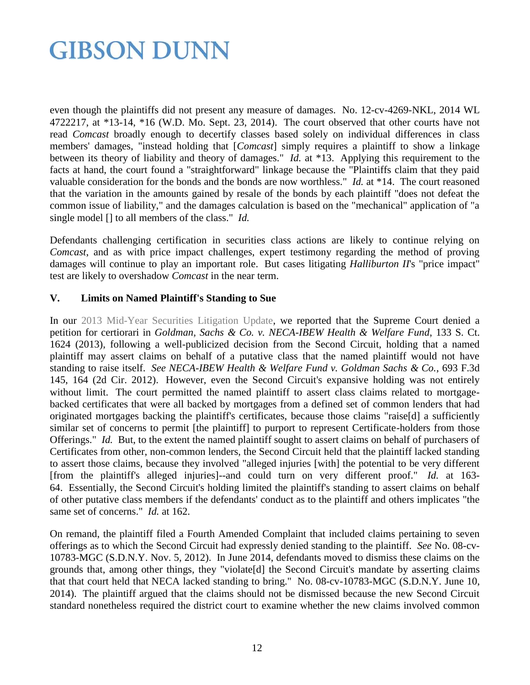even though the plaintiffs did not present any measure of damages. No. 12-cv-4269-NKL, 2014 WL 4722217, at \*13-14, \*16 (W.D. Mo. Sept. 23, 2014). The court observed that other courts have not read *Comcast* broadly enough to decertify classes based solely on individual differences in class members' damages, "instead holding that [*Comcast*] simply requires a plaintiff to show a linkage between its theory of liability and theory of damages." *Id.* at \*13. Applying this requirement to the facts at hand, the court found a "straightforward" linkage because the "Plaintiffs claim that they paid valuable consideration for the bonds and the bonds are now worthless." *Id.* at \*14. The court reasoned that the variation in the amounts gained by resale of the bonds by each plaintiff "does not defeat the common issue of liability," and the damages calculation is based on the "mechanical" application of "a single model [] to all members of the class." *Id.*

Defendants challenging certification in securities class actions are likely to continue relying on *Comcast*, and as with price impact challenges, expert testimony regarding the method of proving damages will continue to play an important role. But cases litigating *Halliburton II*'s "price impact" test are likely to overshadow *Comcast* in the near term.

### **V. Limits on Named Plaintiff's Standing to Sue**

In our [2013 Mid-Year Securities Litigation Update,](http://www.gibsondunn.com/publications/Pages/2013-Mid-Year-Securities-Litigation-Update.aspx) we reported that the Supreme Court denied a petition for certiorari in *Goldman, Sachs & Co. v. NECA-IBEW Health & Welfare Fund*, 133 S. Ct. 1624 (2013), following a well-publicized decision from the Second Circuit, holding that a named plaintiff may assert claims on behalf of a putative class that the named plaintiff would not have standing to raise itself. *See NECA-IBEW Health & Welfare Fund v. Goldman Sachs & Co.*, 693 F.3d 145, 164 (2d Cir. 2012). However, even the Second Circuit's expansive holding was not entirely without limit. The court permitted the named plaintiff to assert class claims related to mortgagebacked certificates that were all backed by mortgages from a defined set of common lenders that had originated mortgages backing the plaintiff's certificates, because those claims "raise[d] a sufficiently similar set of concerns to permit [the plaintiff] to purport to represent Certificate-holders from those Offerings." *Id.* But, to the extent the named plaintiff sought to assert claims on behalf of purchasers of Certificates from other, non-common lenders, the Second Circuit held that the plaintiff lacked standing to assert those claims, because they involved "alleged injuries [with] the potential to be very different [from the plaintiff's alleged injuries]--and could turn on very different proof." *Id.* at 163- 64. Essentially, the Second Circuit's holding limited the plaintiff's standing to assert claims on behalf of other putative class members if the defendants' conduct as to the plaintiff and others implicates "the same set of concerns." *Id.* at 162.

On remand, the plaintiff filed a Fourth Amended Complaint that included claims pertaining to seven offerings as to which the Second Circuit had expressly denied standing to the plaintiff. *See* No. 08-cv-10783-MGC (S.D.N.Y. Nov. 5, 2012). In June 2014, defendants moved to dismiss these claims on the grounds that, among other things, they "violate[d] the Second Circuit's mandate by asserting claims that that court held that NECA lacked standing to bring." No. 08-cv-10783-MGC (S.D.N.Y. June 10, 2014). The plaintiff argued that the claims should not be dismissed because the new Second Circuit standard nonetheless required the district court to examine whether the new claims involved common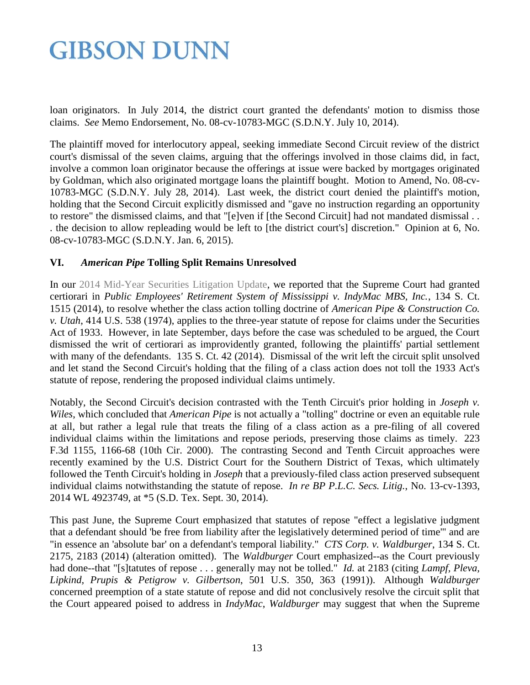loan originators. In July 2014, the district court granted the defendants' motion to dismiss those claims. *See* Memo Endorsement, No. 08-cv-10783-MGC (S.D.N.Y. July 10, 2014).

The plaintiff moved for interlocutory appeal, seeking immediate Second Circuit review of the district court's dismissal of the seven claims, arguing that the offerings involved in those claims did, in fact, involve a common loan originator because the offerings at issue were backed by mortgages originated by Goldman, which also originated mortgage loans the plaintiff bought. Motion to Amend, No. 08-cv-10783-MGC (S.D.N.Y. July 28, 2014). Last week, the district court denied the plaintiff's motion, holding that the Second Circuit explicitly dismissed and "gave no instruction regarding an opportunity to restore" the dismissed claims, and that "[e]ven if [the Second Circuit] had not mandated dismissal . . . the decision to allow repleading would be left to [the district court's] discretion." Opinion at 6, No. 08-cv-10783-MGC (S.D.N.Y. Jan. 6, 2015).

### **VI.** *American Pipe* **Tolling Split Remains Unresolved**

In our [2014 Mid-Year Securities Litigation Update,](http://www.gibsondunn.com/publications/pages/2014-Mid-Year-Securities-Litigation-Update.aspx) we reported that the Supreme Court had granted certiorari in *Public Employees' Retirement System of Mississippi v. IndyMac MBS, Inc.*, 134 S. Ct. 1515 (2014), to resolve whether the class action tolling doctrine of *American Pipe & Construction Co. v. Utah*, 414 U.S. 538 (1974), applies to the three-year statute of repose for claims under the Securities Act of 1933. However, in late September, days before the case was scheduled to be argued, the Court dismissed the writ of certiorari as improvidently granted, following the plaintiffs' partial settlement with many of the defendants. 135 S. Ct. 42 (2014). Dismissal of the writ left the circuit split unsolved and let stand the Second Circuit's holding that the filing of a class action does not toll the 1933 Act's statute of repose, rendering the proposed individual claims untimely.

Notably, the Second Circuit's decision contrasted with the Tenth Circuit's prior holding in *Joseph v. Wiles*, which concluded that *American Pipe* is not actually a "tolling" doctrine or even an equitable rule at all, but rather a legal rule that treats the filing of a class action as a pre-filing of all covered individual claims within the limitations and repose periods, preserving those claims as timely. 223 F.3d 1155, 1166-68 (10th Cir. 2000). The contrasting Second and Tenth Circuit approaches were recently examined by the U.S. District Court for the Southern District of Texas, which ultimately followed the Tenth Circuit's holding in *Joseph* that a previously-filed class action preserved subsequent individual claims notwithstanding the statute of repose. *In re BP P.L.C. Secs. Litig.*, No. 13-cv-1393, 2014 WL 4923749, at \*5 (S.D. Tex. Sept. 30, 2014).

This past June, the Supreme Court emphasized that statutes of repose "effect a legislative judgment that a defendant should 'be free from liability after the legislatively determined period of time'" and are "in essence an 'absolute bar' on a defendant's temporal liability." *CTS Corp. v. Waldburger*, 134 S. Ct. 2175, 2183 (2014) (alteration omitted). The *Waldburger* Court emphasized--as the Court previously had done--that "[s]tatutes of repose . . . generally may not be tolled." *Id.* at 2183 (citing *Lampf, Pleva, Lipkind, Prupis & Petigrow v. Gilbertson*, 501 U.S. 350, 363 (1991)). Although *Waldburger* concerned preemption of a state statute of repose and did not conclusively resolve the circuit split that the Court appeared poised to address in *IndyMac*, *Waldburger* may suggest that when the Supreme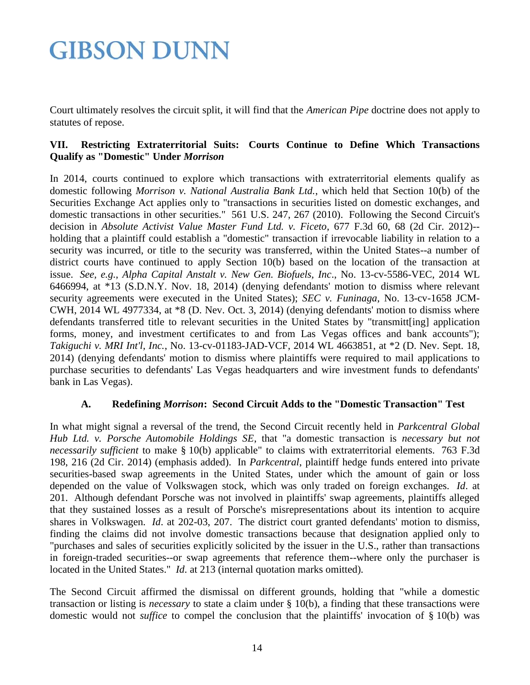Court ultimately resolves the circuit split, it will find that the *American Pipe* doctrine does not apply to statutes of repose.

### **VII. Restricting Extraterritorial Suits: Courts Continue to Define Which Transactions Qualify as "Domestic" Under** *Morrison*

In 2014, courts continued to explore which transactions with extraterritorial elements qualify as domestic following *Morrison v. National Australia Bank Ltd.*, which held that Section 10(b) of the Securities Exchange Act applies only to "transactions in securities listed on domestic exchanges, and domestic transactions in other securities." 561 U.S. 247, 267 (2010). Following the Second Circuit's decision in *Absolute Activist Value Master Fund Ltd. v. Ficeto*, 677 F.3d 60, 68 (2d Cir. 2012)- holding that a plaintiff could establish a "domestic" transaction if irrevocable liability in relation to a security was incurred, or title to the security was transferred, within the United States--a number of district courts have continued to apply Section 10(b) based on the location of the transaction at issue. *See, e.g.*, *Alpha Capital Anstalt v. New Gen. Biofuels, Inc*., No. 13-cv-5586-VEC, 2014 WL 6466994, at \*13 (S.D.N.Y. Nov. 18, 2014) (denying defendants' motion to dismiss where relevant security agreements were executed in the United States); *SEC v. Funinaga*, No. 13-cv-1658 JCM-CWH, 2014 WL 4977334, at \*8 (D. Nev. Oct. 3, 2014) (denying defendants' motion to dismiss where defendants transferred title to relevant securities in the United States by "transmitt[ing] application forms, money, and investment certificates to and from Las Vegas offices and bank accounts"); *Takiguchi v. MRI Int'l, Inc.*, No. 13-cv-01183-JAD-VCF, 2014 WL 4663851, at \*2 (D. Nev. Sept. 18, 2014) (denying defendants' motion to dismiss where plaintiffs were required to mail applications to purchase securities to defendants' Las Vegas headquarters and wire investment funds to defendants' bank in Las Vegas).

### **A. Redefining** *Morrison***: Second Circuit Adds to the "Domestic Transaction" Test**

In what might signal a reversal of the trend, the Second Circuit recently held in *Parkcentral Global Hub Ltd. v. Porsche Automobile Holdings SE*, that "a domestic transaction is *necessary but not necessarily sufficient* to make § 10(b) applicable" to claims with extraterritorial elements. 763 F.3d 198, 216 (2d Cir. 2014) (emphasis added). In *Parkcentral*, plaintiff hedge funds entered into private securities-based swap agreements in the United States, under which the amount of gain or loss depended on the value of Volkswagen stock, which was only traded on foreign exchanges. *Id*. at 201. Although defendant Porsche was not involved in plaintiffs' swap agreements, plaintiffs alleged that they sustained losses as a result of Porsche's misrepresentations about its intention to acquire shares in Volkswagen. *Id*. at 202-03, 207. The district court granted defendants' motion to dismiss, finding the claims did not involve domestic transactions because that designation applied only to "purchases and sales of securities explicitly solicited by the issuer in the U.S., rather than transactions in foreign-traded securities--or swap agreements that reference them--where only the purchaser is located in the United States." *Id*. at 213 (internal quotation marks omitted).

The Second Circuit affirmed the dismissal on different grounds, holding that "while a domestic transaction or listing is *necessary* to state a claim under § 10(b), a finding that these transactions were domestic would not *suffice* to compel the conclusion that the plaintiffs' invocation of § 10(b) was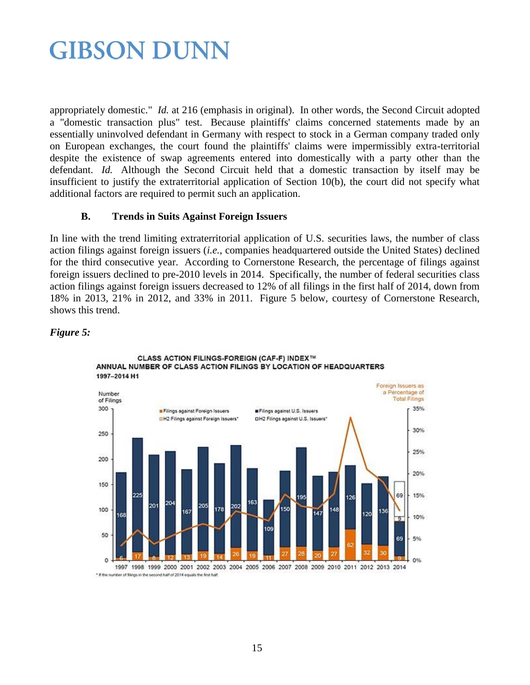appropriately domestic." *Id.* at 216 (emphasis in original). In other words, the Second Circuit adopted a "domestic transaction plus" test. Because plaintiffs' claims concerned statements made by an essentially uninvolved defendant in Germany with respect to stock in a German company traded only on European exchanges, the court found the plaintiffs' claims were impermissibly extra-territorial despite the existence of swap agreements entered into domestically with a party other than the defendant. *Id.* Although the Second Circuit held that a domestic transaction by itself may be insufficient to justify the extraterritorial application of Section 10(b), the court did not specify what additional factors are required to permit such an application.

### **B. Trends in Suits Against Foreign Issuers**

In line with the trend limiting extraterritorial application of U.S. securities laws, the number of class action filings against foreign issuers (*i.e.*, companies headquartered outside the United States) declined for the third consecutive year. According to Cornerstone Research, the percentage of filings against foreign issuers declined to pre-2010 levels in 2014. Specifically, the number of federal securities class action filings against foreign issuers decreased to 12% of all filings in the first half of 2014, down from 18% in 2013, 21% in 2012, and 33% in 2011. Figure 5 below, courtesy of Cornerstone Research, shows this trend.

### *Figure 5:*



### CLASS ACTION FILINGS-FOREIGN (CAF-F) INDEX™ ANNUAL NUMBER OF CLASS ACTION FILINGS BY LOCATION OF HEADQUARTERS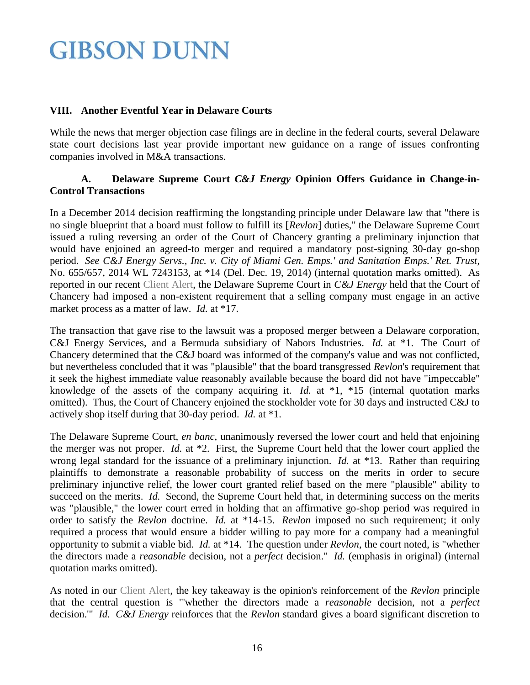#### **VIII. Another Eventful Year in Delaware Courts**

While the news that merger objection case filings are in decline in the federal courts, several Delaware state court decisions last year provide important new guidance on a range of issues confronting companies involved in M&A transactions.

### **A. Delaware Supreme Court** *C&J Energy* **Opinion Offers Guidance in Change-in-Control Transactions**

In a December 2014 decision reaffirming the longstanding principle under Delaware law that "there is no single blueprint that a board must follow to fulfill its [*Revlon*] duties," the Delaware Supreme Court issued a ruling reversing an order of the Court of Chancery granting a preliminary injunction that would have enjoined an agreed-to merger and required a mandatory post-signing 30-day go-shop period. *See C&J Energy Servs., Inc. v. City of Miami Gen. Emps.' and Sanitation Emps.' Ret. Trust*, No. 655/657, 2014 WL 7243153, at \*14 (Del. Dec. 19, 2014) (internal quotation marks omitted). As reported in our recent [Client Alert,](http://www.gibsondunn.com/publications/Pages/Delaware-Supreme-Court-Issues-Important-Guidance-on-Revlon-Duties.aspx) the Delaware Supreme Court in *C&J Energy* held that the Court of Chancery had imposed a non-existent requirement that a selling company must engage in an active market process as a matter of law. *Id.* at \*17.

The transaction that gave rise to the lawsuit was a proposed merger between a Delaware corporation, C&J Energy Services, and a Bermuda subsidiary of Nabors Industries. *Id.* at \*1. The Court of Chancery determined that the C&J board was informed of the company's value and was not conflicted, but nevertheless concluded that it was "plausible" that the board transgressed *Revlon*'s requirement that it seek the highest immediate value reasonably available because the board did not have "impeccable" knowledge of the assets of the company acquiring it. *Id.* at \*1, \*15 (internal quotation marks omitted). Thus, the Court of Chancery enjoined the stockholder vote for 30 days and instructed C&J to actively shop itself during that 30-day period. *Id.* at \*1.

The Delaware Supreme Court, *en banc*, unanimously reversed the lower court and held that enjoining the merger was not proper. *Id.* at \*2. First, the Supreme Court held that the lower court applied the wrong legal standard for the issuance of a preliminary injunction. *Id.* at \*13. Rather than requiring plaintiffs to demonstrate a reasonable probability of success on the merits in order to secure preliminary injunctive relief, the lower court granted relief based on the mere "plausible" ability to succeed on the merits. *Id.* Second, the Supreme Court held that, in determining success on the merits was "plausible," the lower court erred in holding that an affirmative go-shop period was required in order to satisfy the *Revlon* doctrine. *Id.* at \*14-15. *Revlon* imposed no such requirement; it only required a process that would ensure a bidder willing to pay more for a company had a meaningful opportunity to submit a viable bid. *Id.* at \*14. The question under *Revlon*, the court noted, is "whether the directors made a *reasonable* decision, not a *perfect* decision." *Id.* (emphasis in original) (internal quotation marks omitted).

As noted in our [Client Alert,](http://www.gibsondunn.com/publications/Pages/Delaware-Supreme-Court-Issues-Important-Guidance-on-Revlon-Duties.aspx) the key takeaway is the opinion's reinforcement of the *Revlon* principle that the central question is "'whether the directors made a *reasonable* decision, not a *perfect* decision.'" *Id. C&J Energy* reinforces that the *Revlon* standard gives a board significant discretion to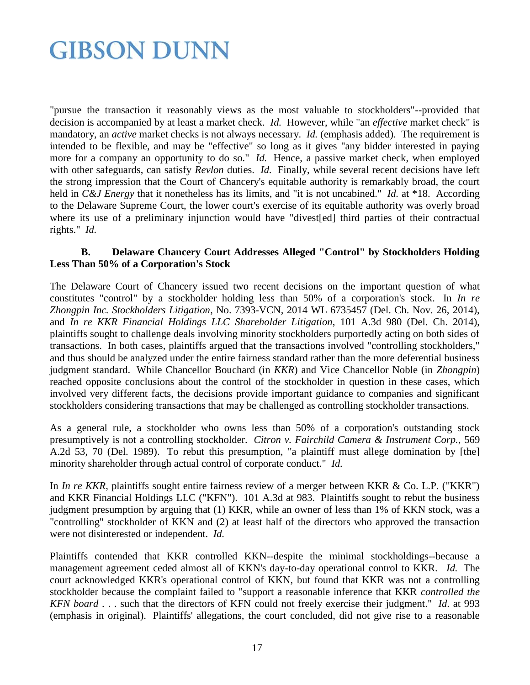"pursue the transaction it reasonably views as the most valuable to stockholders"--provided that decision is accompanied by at least a market check. *Id.* However, while "an *effective* market check" is mandatory, an *active* market checks is not always necessary. *Id.* (emphasis added). The requirement is intended to be flexible, and may be "effective" so long as it gives "any bidder interested in paying more for a company an opportunity to do so." *Id.* Hence, a passive market check, when employed with other safeguards, can satisfy *Revlon* duties. *Id.* Finally, while several recent decisions have left the strong impression that the Court of Chancery's equitable authority is remarkably broad, the court held in *C&J Energy* that it nonetheless has its limits, and "it is not uncabined." *Id.* at \*18. According to the Delaware Supreme Court, the lower court's exercise of its equitable authority was overly broad where its use of a preliminary injunction would have "divest[ed] third parties of their contractual rights." *Id.*

#### **B. Delaware Chancery Court Addresses Alleged "Control" by Stockholders Holding Less Than 50% of a Corporation's Stock**

The Delaware Court of Chancery issued two recent decisions on the important question of what constitutes "control" by a stockholder holding less than 50% of a corporation's stock. In *In re Zhongpin Inc. Stockholders Litigation*, No. 7393-VCN, 2014 WL 6735457 (Del. Ch. Nov. 26, 2014), and *In re KKR Financial Holdings LLC Shareholder Litigation*, 101 A.3d 980 (Del. Ch. 2014), plaintiffs sought to challenge deals involving minority stockholders purportedly acting on both sides of transactions. In both cases, plaintiffs argued that the transactions involved "controlling stockholders," and thus should be analyzed under the entire fairness standard rather than the more deferential business judgment standard. While Chancellor Bouchard (in *KKR*) and Vice Chancellor Noble (in *Zhongpin*) reached opposite conclusions about the control of the stockholder in question in these cases, which involved very different facts, the decisions provide important guidance to companies and significant stockholders considering transactions that may be challenged as controlling stockholder transactions.

As a general rule, a stockholder who owns less than 50% of a corporation's outstanding stock presumptively is not a controlling stockholder. *Citron v. Fairchild Camera & Instrument Corp.*, 569 A.2d 53, 70 (Del. 1989). To rebut this presumption, "a plaintiff must allege domination by [the] minority shareholder through actual control of corporate conduct." *Id.*

In *In re KKR*, plaintiffs sought entire fairness review of a merger between KKR & Co. L.P. ("KKR") and KKR Financial Holdings LLC ("KFN"). 101 A.3d at 983. Plaintiffs sought to rebut the business judgment presumption by arguing that (1) KKR, while an owner of less than 1% of KKN stock, was a "controlling" stockholder of KKN and (2) at least half of the directors who approved the transaction were not disinterested or independent. *Id.* 

Plaintiffs contended that KKR controlled KKN--despite the minimal stockholdings--because a management agreement ceded almost all of KKN's day-to-day operational control to KKR. *Id.* The court acknowledged KKR's operational control of KKN, but found that KKR was not a controlling stockholder because the complaint failed to "support a reasonable inference that KKR *controlled the KFN board* . . . such that the directors of KFN could not freely exercise their judgment." *Id*. at 993 (emphasis in original). Plaintiffs' allegations, the court concluded, did not give rise to a reasonable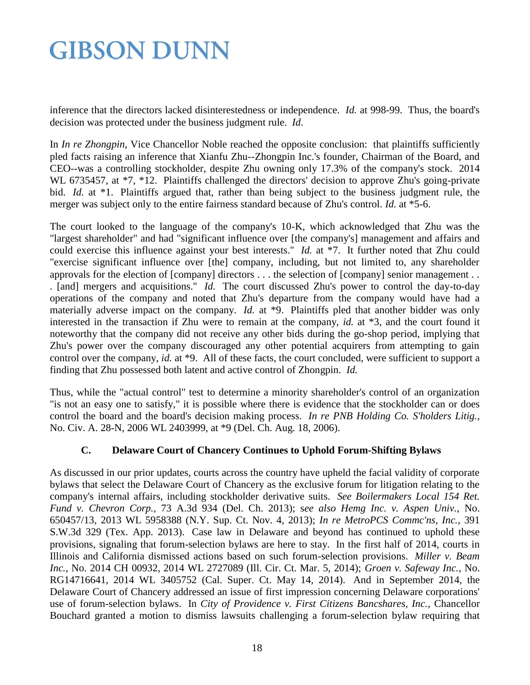inference that the directors lacked disinterestedness or independence. *Id.* at 998-99. Thus, the board's decision was protected under the business judgment rule. *Id*.

In *In re Zhongpin*, Vice Chancellor Noble reached the opposite conclusion: that plaintiffs sufficiently pled facts raising an inference that Xianfu Zhu--Zhongpin Inc.'s founder, Chairman of the Board, and CEO--was a controlling stockholder, despite Zhu owning only 17.3% of the company's stock. 2014 WL 6735457, at  $*7$ ,  $*12$ . Plaintiffs challenged the directors' decision to approve Zhu's going-private bid. *Id.* at \*1. Plaintiffs argued that, rather than being subject to the business judgment rule, the merger was subject only to the entire fairness standard because of Zhu's control. *Id.* at \*5-6.

The court looked to the language of the company's 10-K, which acknowledged that Zhu was the "largest shareholder" and had "significant influence over [the company's] management and affairs and could exercise this influence against your best interests." *Id.* at \*7. It further noted that Zhu could "exercise significant influence over [the] company, including, but not limited to, any shareholder approvals for the election of [company] directors . . . the selection of [company] senior management . . . [and] mergers and acquisitions." *Id.* The court discussed Zhu's power to control the day-to-day operations of the company and noted that Zhu's departure from the company would have had a materially adverse impact on the company. *Id.* at \*9. Plaintiffs pled that another bidder was only interested in the transaction if Zhu were to remain at the company, *id.* at \*3, and the court found it noteworthy that the company did not receive any other bids during the go-shop period, implying that Zhu's power over the company discouraged any other potential acquirers from attempting to gain control over the company, *id.* at \*9. All of these facts, the court concluded, were sufficient to support a finding that Zhu possessed both latent and active control of Zhongpin. *Id.* 

Thus, while the "actual control" test to determine a minority shareholder's control of an organization "is not an easy one to satisfy," it is possible where there is evidence that the stockholder can or does control the board and the board's decision making process. *In re PNB Holding Co. S'holders Litig.*, No. Civ. A. 28-N, 2006 WL 2403999, at \*9 (Del. Ch. Aug. 18, 2006).

### **C. Delaware Court of Chancery Continues to Uphold Forum-Shifting Bylaws**

As discussed in our prior updates, courts across the country have upheld the facial validity of corporate bylaws that select the Delaware Court of Chancery as the exclusive forum for litigation relating to the company's internal affairs, including stockholder derivative suits. *See Boilermakers Local 154 Ret. Fund v. Chevron Corp.*, 73 A.3d 934 (Del. Ch. 2013); s*ee also Hemg Inc. v. Aspen Univ.*, No. 650457/13, 2013 WL 5958388 (N.Y. Sup. Ct. Nov. 4, 2013); *In re MetroPCS Commc'ns, Inc.*, 391 S.W.3d 329 (Tex. App. 2013). Case law in Delaware and beyond has continued to uphold these provisions, signaling that forum-selection bylaws are here to stay. In the first half of 2014, courts in Illinois and California dismissed actions based on such forum-selection provisions. *Miller v. Beam Inc.*, No. 2014 CH 00932, 2014 WL 2727089 (Ill. Cir. Ct. Mar. 5, 2014); *Groen v. Safeway Inc.*, No. RG14716641, 2014 WL 3405752 (Cal. Super. Ct. May 14, 2014). And in September 2014, the Delaware Court of Chancery addressed an issue of first impression concerning Delaware corporations' use of forum-selection bylaws. In *City of Providence v. First Citizens Bancshares, Inc.*, Chancellor Bouchard granted a motion to dismiss lawsuits challenging a forum-selection bylaw requiring that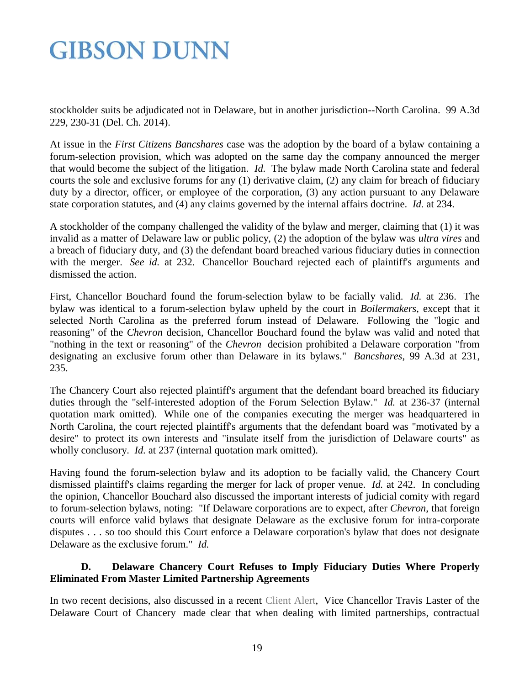stockholder suits be adjudicated not in Delaware, but in another jurisdiction--North Carolina. 99 A.3d 229, 230-31 (Del. Ch. 2014).

At issue in the *First Citizens Bancshares* case was the adoption by the board of a bylaw containing a forum-selection provision, which was adopted on the same day the company announced the merger that would become the subject of the litigation. *Id.* The bylaw made North Carolina state and federal courts the sole and exclusive forums for any (1) derivative claim, (2) any claim for breach of fiduciary duty by a director, officer, or employee of the corporation, (3) any action pursuant to any Delaware state corporation statutes, and (4) any claims governed by the internal affairs doctrine. *Id.* at 234.

A stockholder of the company challenged the validity of the bylaw and merger, claiming that (1) it was invalid as a matter of Delaware law or public policy, (2) the adoption of the bylaw was *ultra vires* and a breach of fiduciary duty, and (3) the defendant board breached various fiduciary duties in connection with the merger. *See id.* at 232. Chancellor Bouchard rejected each of plaintiff's arguments and dismissed the action.

First, Chancellor Bouchard found the forum-selection bylaw to be facially valid. *Id.* at 236. The bylaw was identical to a forum-selection bylaw upheld by the court in *Boilermakers*, except that it selected North Carolina as the preferred forum instead of Delaware. Following the "logic and reasoning" of the *Chevron* decision, Chancellor Bouchard found the bylaw was valid and noted that "nothing in the text or reasoning" of the *Chevron* decision prohibited a Delaware corporation "from designating an exclusive forum other than Delaware in its bylaws." *Bancshares*, 99 A.3d at 231, 235.

The Chancery Court also rejected plaintiff's argument that the defendant board breached its fiduciary duties through the "self-interested adoption of the Forum Selection Bylaw." *Id.* at 236-37 (internal quotation mark omitted). While one of the companies executing the merger was headquartered in North Carolina, the court rejected plaintiff's arguments that the defendant board was "motivated by a desire" to protect its own interests and "insulate itself from the jurisdiction of Delaware courts" as wholly conclusory. *Id.* at 237 (internal quotation mark omitted).

Having found the forum-selection bylaw and its adoption to be facially valid, the Chancery Court dismissed plaintiff's claims regarding the merger for lack of proper venue. *Id.* at 242. In concluding the opinion, Chancellor Bouchard also discussed the important interests of judicial comity with regard to forum-selection bylaws, noting: "If Delaware corporations are to expect, after *Chevron*, that foreign courts will enforce valid bylaws that designate Delaware as the exclusive forum for intra-corporate disputes . . . so too should this Court enforce a Delaware corporation's bylaw that does not designate Delaware as the exclusive forum." *Id.*

### **D. Delaware Chancery Court Refuses to Imply Fiduciary Duties Where Properly Eliminated From Master Limited Partnership Agreements**

In two recent decisions, also discussed in a recent [Client Alert,](http://www.gibsondunn.com/publications/Pages/Implications-of-Recent-Court-of-Chancery-Decisions-on-MLP-Related-Party-Transactions.aspx) Vice Chancellor Travis Laster of the Delaware Court of Chancery made clear that when dealing with limited partnerships, contractual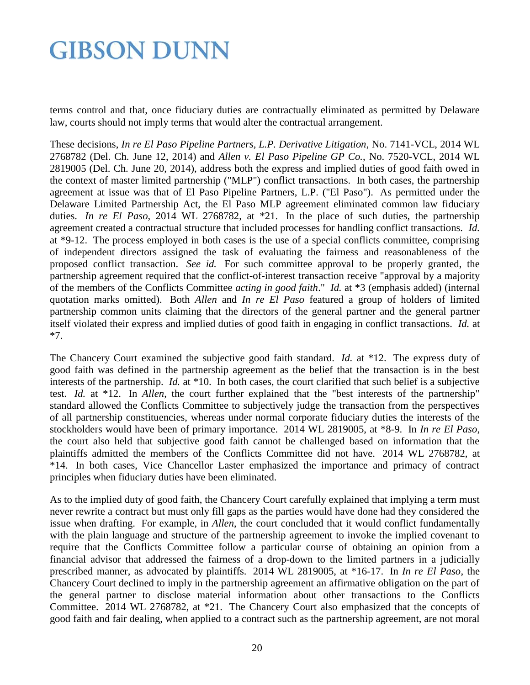terms control and that, once fiduciary duties are contractually eliminated as permitted by Delaware law, courts should not imply terms that would alter the contractual arrangement.

These decisions, *In re El Paso Pipeline Partners, L.P. Derivative Litigation*, No. 7141-VCL, 2014 WL 2768782 (Del. Ch. June 12, 2014) and *Allen v. El Paso Pipeline GP Co.*, No. 7520-VCL, 2014 WL 2819005 (Del. Ch. June 20, 2014), address both the express and implied duties of good faith owed in the context of master limited partnership ("MLP") conflict transactions. In both cases, the partnership agreement at issue was that of El Paso Pipeline Partners, L.P. ("El Paso"). As permitted under the Delaware Limited Partnership Act, the El Paso MLP agreement eliminated common law fiduciary duties. *In re El Paso*, 2014 WL 2768782, at \*21. In the place of such duties, the partnership agreement created a contractual structure that included processes for handling conflict transactions. *Id.*  at \*9-12. The process employed in both cases is the use of a special conflicts committee, comprising of independent directors assigned the task of evaluating the fairness and reasonableness of the proposed conflict transaction. *See id.* For such committee approval to be properly granted, the partnership agreement required that the conflict-of-interest transaction receive "approval by a majority of the members of the Conflicts Committee *acting in good faith*." *Id.* at \*3 (emphasis added) (internal quotation marks omitted). Both *Allen* and *In re El Paso* featured a group of holders of limited partnership common units claiming that the directors of the general partner and the general partner itself violated their express and implied duties of good faith in engaging in conflict transactions. *Id.* at \*7.

The Chancery Court examined the subjective good faith standard. *Id.* at \*12. The express duty of good faith was defined in the partnership agreement as the belief that the transaction is in the best interests of the partnership. *Id.* at \*10. In both cases, the court clarified that such belief is a subjective test. *Id.* at \*12. In *Allen*, the court further explained that the "best interests of the partnership" standard allowed the Conflicts Committee to subjectively judge the transaction from the perspectives of all partnership constituencies, whereas under normal corporate fiduciary duties the interests of the stockholders would have been of primary importance. 2014 WL 2819005, at \*8-9. In *In re El Paso*, the court also held that subjective good faith cannot be challenged based on information that the plaintiffs admitted the members of the Conflicts Committee did not have. 2014 WL 2768782, at \*14. In both cases, Vice Chancellor Laster emphasized the importance and primacy of contract principles when fiduciary duties have been eliminated.

As to the implied duty of good faith, the Chancery Court carefully explained that implying a term must never rewrite a contract but must only fill gaps as the parties would have done had they considered the issue when drafting. For example, in *Allen*, the court concluded that it would conflict fundamentally with the plain language and structure of the partnership agreement to invoke the implied covenant to require that the Conflicts Committee follow a particular course of obtaining an opinion from a financial advisor that addressed the fairness of a drop-down to the limited partners in a judicially prescribed manner, as advocated by plaintiffs. 2014 WL 2819005, at \*16-17. In *In re El Paso*, the Chancery Court declined to imply in the partnership agreement an affirmative obligation on the part of the general partner to disclose material information about other transactions to the Conflicts Committee. 2014 WL 2768782, at \*21. The Chancery Court also emphasized that the concepts of good faith and fair dealing, when applied to a contract such as the partnership agreement, are not moral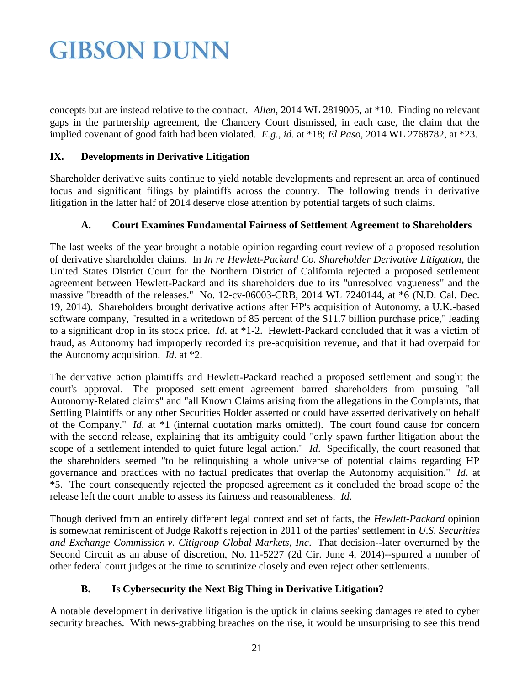concepts but are instead relative to the contract. *Allen*, 2014 WL 2819005, at \*10. Finding no relevant gaps in the partnership agreement, the Chancery Court dismissed, in each case, the claim that the implied covenant of good faith had been violated. *E.g.*, *id.* at \*18; *El Paso*, 2014 WL 2768782, at \*23.

### **IX. Developments in Derivative Litigation**

Shareholder derivative suits continue to yield notable developments and represent an area of continued focus and significant filings by plaintiffs across the country. The following trends in derivative litigation in the latter half of 2014 deserve close attention by potential targets of such claims.

### **A. Court Examines Fundamental Fairness of Settlement Agreement to Shareholders**

The last weeks of the year brought a notable opinion regarding court review of a proposed resolution of derivative shareholder claims. In *In re Hewlett-Packard Co. Shareholder Derivative Litigation*, the United States District Court for the Northern District of California rejected a proposed settlement agreement between Hewlett-Packard and its shareholders due to its "unresolved vagueness" and the massive "breadth of the releases." No. 12-cv-06003-CRB, 2014 WL 7240144, at \*6 (N.D. Cal. Dec. 19, 2014). Shareholders brought derivative actions after HP's acquisition of Autonomy, a U.K.-based software company, "resulted in a writedown of 85 percent of the \$11.7 billion purchase price," leading to a significant drop in its stock price. *Id*. at \*1-2. Hewlett-Packard concluded that it was a victim of fraud, as Autonomy had improperly recorded its pre-acquisition revenue, and that it had overpaid for the Autonomy acquisition. *Id*. at \*2.

The derivative action plaintiffs and Hewlett-Packard reached a proposed settlement and sought the court's approval. The proposed settlement agreement barred shareholders from pursuing "all Autonomy-Related claims" and "all Known Claims arising from the allegations in the Complaints, that Settling Plaintiffs or any other Securities Holder asserted or could have asserted derivatively on behalf of the Company." *Id*. at \*1 (internal quotation marks omitted). The court found cause for concern with the second release, explaining that its ambiguity could "only spawn further litigation about the scope of a settlement intended to quiet future legal action." *Id*. Specifically, the court reasoned that the shareholders seemed "to be relinquishing a whole universe of potential claims regarding HP governance and practices with no factual predicates that overlap the Autonomy acquisition." *Id*. at \*5. The court consequently rejected the proposed agreement as it concluded the broad scope of the release left the court unable to assess its fairness and reasonableness. *Id*.

Though derived from an entirely different legal context and set of facts, the *Hewlett-Packard* opinion is somewhat reminiscent of Judge Rakoff's rejection in 2011 of the parties' settlement in *U.S. Securities and Exchange Commission v. Citigroup Global Markets, Inc*. That decision--later overturned by the Second Circuit as an abuse of discretion, No. 11-5227 (2d Cir. June 4, 2014)--spurred a number of other federal court judges at the time to scrutinize closely and even reject other settlements.

### **B. Is Cybersecurity the Next Big Thing in Derivative Litigation?**

A notable development in derivative litigation is the uptick in claims seeking damages related to cyber security breaches. With news-grabbing breaches on the rise, it would be unsurprising to see this trend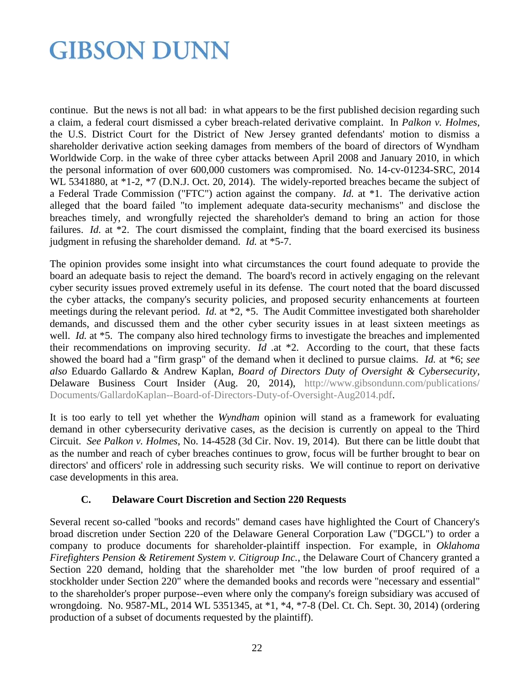continue. But the news is not all bad: in what appears to be the first published decision regarding such a claim, a federal court dismissed a cyber breach-related derivative complaint. In *Palkon v. Holmes*, the U.S. District Court for the District of New Jersey granted defendants' motion to dismiss a shareholder derivative action seeking damages from members of the board of directors of Wyndham Worldwide Corp. in the wake of three cyber attacks between April 2008 and January 2010, in which the personal information of over 600,000 customers was compromised. No. 14-cv-01234-SRC, 2014 WL 5341880, at \*1-2, \*7 (D.N.J. Oct. 20, 2014). The widely-reported breaches became the subject of a Federal Trade Commission ("FTC") action against the company. *Id.* at \*1. The derivative action alleged that the board failed "to implement adequate data-security mechanisms" and disclose the breaches timely, and wrongfully rejected the shareholder's demand to bring an action for those failures. *Id.* at \*2. The court dismissed the complaint, finding that the board exercised its business judgment in refusing the shareholder demand. *Id.* at \*5-7.

The opinion provides some insight into what circumstances the court found adequate to provide the board an adequate basis to reject the demand. The board's record in actively engaging on the relevant cyber security issues proved extremely useful in its defense. The court noted that the board discussed the cyber attacks, the company's security policies, and proposed security enhancements at fourteen meetings during the relevant period. *Id.* at \*2, \*5. The Audit Committee investigated both shareholder demands, and discussed them and the other cyber security issues in at least sixteen meetings as well. *Id.* at \*5. The company also hired technology firms to investigate the breaches and implemented their recommendations on improving security. *Id .*at \*2. According to the court, that these facts showed the board had a "firm grasp" of the demand when it declined to pursue claims. *Id.* at \*6; *see also* Eduardo Gallardo & Andrew Kaplan, *Board of Directors Duty of Oversight & Cybersecurity*, Delaware Business Court Insider (Aug. 20, 2014), [http://www.gibsondunn.com/publications/](http://www.gibsondunn.com/publications/%20Documents/GallardoKaplan--Board-of-Directors-Duty-of-Oversight-Aug2014.pdf)  [Documents/GallardoKaplan--Board-of-Directors-Duty-of-Oversight-Aug2014.pdf.](http://www.gibsondunn.com/publications/%20Documents/GallardoKaplan--Board-of-Directors-Duty-of-Oversight-Aug2014.pdf)

It is too early to tell yet whether the *Wyndham* opinion will stand as a framework for evaluating demand in other cybersecurity derivative cases, as the decision is currently on appeal to the Third Circuit. *See Palkon v. Holmes*, No. 14-4528 (3d Cir. Nov. 19, 2014). But there can be little doubt that as the number and reach of cyber breaches continues to grow, focus will be further brought to bear on directors' and officers' role in addressing such security risks. We will continue to report on derivative case developments in this area.

#### **C. Delaware Court Discretion and Section 220 Requests**

Several recent so-called "books and records" demand cases have highlighted the Court of Chancery's broad discretion under Section 220 of the Delaware General Corporation Law ("DGCL") to order a company to produce documents for shareholder-plaintiff inspection. For example, in *Oklahoma Firefighters Pension & Retirement System v. Citigroup Inc.*, the Delaware Court of Chancery granted a Section 220 demand, holding that the shareholder met "the low burden of proof required of a stockholder under Section 220" where the demanded books and records were "necessary and essential" to the shareholder's proper purpose--even where only the company's foreign subsidiary was accused of wrongdoing. No. 9587-ML, 2014 WL 5351345, at \*1, \*4, \*7-8 (Del. Ct. Ch. Sept. 30, 2014) (ordering production of a subset of documents requested by the plaintiff).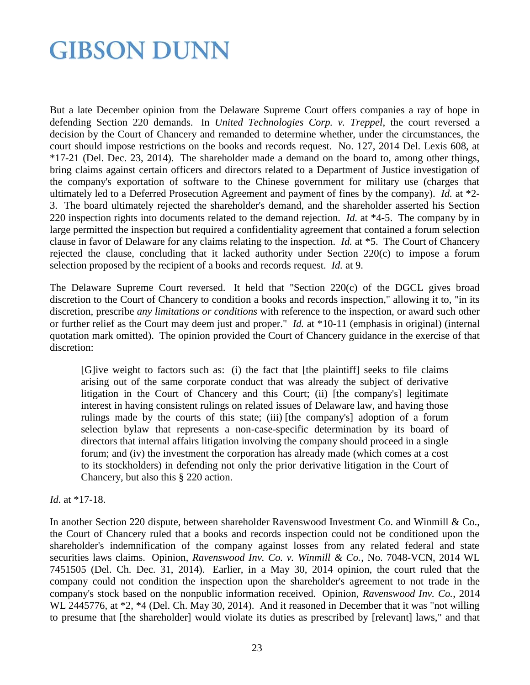But a late December opinion from the Delaware Supreme Court offers companies a ray of hope in defending Section 220 demands. In *United Technologies Corp. v. Treppel*, the court reversed a decision by the Court of Chancery and remanded to determine whether, under the circumstances, the court should impose restrictions on the books and records request. No. 127, 2014 Del. Lexis 608, at \*17-21 (Del. Dec. 23, 2014). The shareholder made a demand on the board to, among other things, bring claims against certain officers and directors related to a Department of Justice investigation of the company's exportation of software to the Chinese government for military use (charges that ultimately led to a Deferred Prosecution Agreement and payment of fines by the company). *Id.* at \*2- 3. The board ultimately rejected the shareholder's demand, and the shareholder asserted his Section 220 inspection rights into documents related to the demand rejection. *Id.* at \*4-5. The company by in large permitted the inspection but required a confidentiality agreement that contained a forum selection clause in favor of Delaware for any claims relating to the inspection. *Id.* at \*5. The Court of Chancery rejected the clause, concluding that it lacked authority under Section 220(c) to impose a forum selection proposed by the recipient of a books and records request. *Id.* at 9.

The Delaware Supreme Court reversed. It held that "Section 220(c) of the DGCL gives broad discretion to the Court of Chancery to condition a books and records inspection," allowing it to, "in its discretion, prescribe *any limitations or conditions* with reference to the inspection, or award such other or further relief as the Court may deem just and proper." *Id.* at \*10-11 (emphasis in original) (internal quotation mark omitted). The opinion provided the Court of Chancery guidance in the exercise of that discretion:

[G]ive weight to factors such as: (i) the fact that [the plaintiff] seeks to file claims arising out of the same corporate conduct that was already the subject of derivative litigation in the Court of Chancery and this Court; (ii) [the company's] legitimate interest in having consistent rulings on related issues of Delaware law, and having those rulings made by the courts of this state; (iii) [the company's] adoption of a forum selection bylaw that represents a non-case-specific determination by its board of directors that internal affairs litigation involving the company should proceed in a single forum; and (iv) the investment the corporation has already made (which comes at a cost to its stockholders) in defending not only the prior derivative litigation in the Court of Chancery, but also this § 220 action.

#### *Id.* at \*17-18.

In another Section 220 dispute, between shareholder Ravenswood Investment Co. and Winmill & Co., the Court of Chancery ruled that a books and records inspection could not be conditioned upon the shareholder's indemnification of the company against losses from any related federal and state securities laws claims. Opinion, *Ravenswood Inv. Co. v. Winmill & Co.*, No. 7048-VCN, 2014 WL 7451505 (Del. Ch. Dec. 31, 2014). Earlier, in a May 30, 2014 opinion, the court ruled that the company could not condition the inspection upon the shareholder's agreement to not trade in the company's stock based on the nonpublic information received. Opinion, *Ravenswood Inv. Co.*, 2014 WL 2445776, at  $*2$ ,  $*4$  (Del. Ch. May 30, 2014). And it reasoned in December that it was "not willing to presume that [the shareholder] would violate its duties as prescribed by [relevant] laws," and that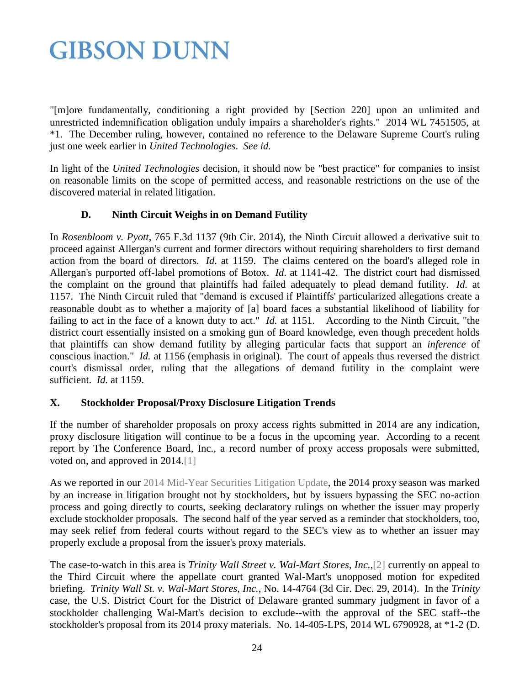"[m]ore fundamentally, conditioning a right provided by [Section 220] upon an unlimited and unrestricted indemnification obligation unduly impairs a shareholder's rights." 2014 WL 7451505, at \*1. The December ruling, however, contained no reference to the Delaware Supreme Court's ruling just one week earlier in *United Technologies*. *See id.*

In light of the *United Technologies* decision, it should now be "best practice" for companies to insist on reasonable limits on the scope of permitted access, and reasonable restrictions on the use of the discovered material in related litigation.

### **D. Ninth Circuit Weighs in on Demand Futility**

In *Rosenbloom v. Pyott*, 765 F.3d 1137 (9th Cir. 2014), the Ninth Circuit allowed a derivative suit to proceed against Allergan's current and former directors without requiring shareholders to first demand action from the board of directors. *Id*. at 1159. The claims centered on the board's alleged role in Allergan's purported off-label promotions of Botox. *Id*. at 1141-42. The district court had dismissed the complaint on the ground that plaintiffs had failed adequately to plead demand futility. *Id.* at 1157. The Ninth Circuit ruled that "demand is excused if Plaintiffs' particularized allegations create a reasonable doubt as to whether a majority of [a] board faces a substantial likelihood of liability for failing to act in the face of a known duty to act." *Id.* at 1151. According to the Ninth Circuit, "the district court essentially insisted on a smoking gun of Board knowledge, even though precedent holds that plaintiffs can show demand futility by alleging particular facts that support an *inference* of conscious inaction." *Id.* at 1156 (emphasis in original). The court of appeals thus reversed the district court's dismissal order, ruling that the allegations of demand futility in the complaint were sufficient. *Id.* at 1159.

### **X. Stockholder Proposal/Proxy Disclosure Litigation Trends**

If the number of shareholder proposals on proxy access rights submitted in 2014 are any indication, proxy disclosure litigation will continue to be a focus in the upcoming year. According to a recent report by The Conference Board, Inc., a record number of proxy access proposals were submitted, voted on, and approved in 2014.[1]

As we reported in our [2014 Mid-Year Securities Litigation Update,](http://www.gibsondunn.com/publications/pages/2014-Mid-Year-Securities-Litigation-Update.aspx) the 2014 proxy season was marked by an increase in litigation brought not by stockholders, but by issuers bypassing the SEC no-action process and going directly to courts, seeking declaratory rulings on whether the issuer may properly exclude stockholder proposals. The second half of the year served as a reminder that stockholders, too, may seek relief from federal courts without regard to the SEC's view as to whether an issuer may properly exclude a proposal from the issuer's proxy materials.

The case-to-watch in this area is *Trinity Wall Street v. Wal-Mart Stores, Inc.*,[2] currently on appeal to the Third Circuit where the appellate court granted Wal-Mart's unopposed motion for expedited briefing. *Trinity Wall St. v. Wal-Mart Stores, Inc.*, No. 14-4764 (3d Cir. Dec. 29, 2014). In the *Trinity*  case, the U.S. District Court for the District of Delaware granted summary judgment in favor of a stockholder challenging Wal-Mart's decision to exclude--with the approval of the SEC staff--the stockholder's proposal from its 2014 proxy materials. No. 14-405-LPS, 2014 WL 6790928, at \*1-2 (D.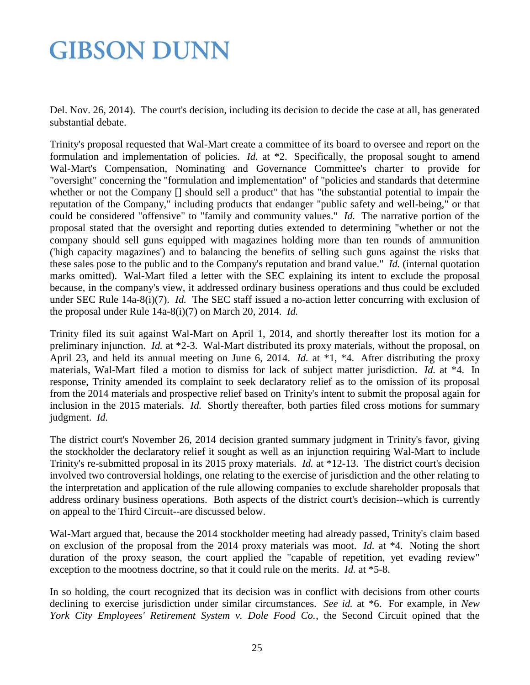Del. Nov. 26, 2014). The court's decision, including its decision to decide the case at all, has generated substantial debate.

Trinity's proposal requested that Wal-Mart create a committee of its board to oversee and report on the formulation and implementation of policies. *Id.* at \*2. Specifically, the proposal sought to amend Wal-Mart's Compensation, Nominating and Governance Committee's charter to provide for "oversight" concerning the "formulation and implementation" of "policies and standards that determine whether or not the Company [] should sell a product" that has "the substantial potential to impair the reputation of the Company," including products that endanger "public safety and well-being," or that could be considered "offensive" to "family and community values." *Id.* The narrative portion of the proposal stated that the oversight and reporting duties extended to determining "whether or not the company should sell guns equipped with magazines holding more than ten rounds of ammunition ('high capacity magazines') and to balancing the benefits of selling such guns against the risks that these sales pose to the public and to the Company's reputation and brand value." *Id.* (internal quotation marks omitted). Wal-Mart filed a letter with the SEC explaining its intent to exclude the proposal because, in the company's view, it addressed ordinary business operations and thus could be excluded under SEC Rule 14a-8(i)(7). *Id.* The SEC staff issued a no-action letter concurring with exclusion of the proposal under Rule 14a-8(i)(7) on March 20, 2014. *Id.*

Trinity filed its suit against Wal-Mart on April 1, 2014, and shortly thereafter lost its motion for a preliminary injunction. *Id.* at \*2-3. Wal-Mart distributed its proxy materials, without the proposal, on April 23, and held its annual meeting on June 6, 2014. *Id.* at \*1, \*4. After distributing the proxy materials, Wal-Mart filed a motion to dismiss for lack of subject matter jurisdiction. *Id.* at \*4. In response, Trinity amended its complaint to seek declaratory relief as to the omission of its proposal from the 2014 materials and prospective relief based on Trinity's intent to submit the proposal again for inclusion in the 2015 materials. *Id.* Shortly thereafter, both parties filed cross motions for summary judgment. *Id.*

The district court's November 26, 2014 decision granted summary judgment in Trinity's favor, giving the stockholder the declaratory relief it sought as well as an injunction requiring Wal-Mart to include Trinity's re-submitted proposal in its 2015 proxy materials. *Id.* at \*12-13. The district court's decision involved two controversial holdings, one relating to the exercise of jurisdiction and the other relating to the interpretation and application of the rule allowing companies to exclude shareholder proposals that address ordinary business operations. Both aspects of the district court's decision--which is currently on appeal to the Third Circuit--are discussed below.

Wal-Mart argued that, because the 2014 stockholder meeting had already passed, Trinity's claim based on exclusion of the proposal from the 2014 proxy materials was moot. *Id.* at \*4. Noting the short duration of the proxy season, the court applied the "capable of repetition, yet evading review" exception to the mootness doctrine, so that it could rule on the merits. *Id.* at \*5-8.

In so holding, the court recognized that its decision was in conflict with decisions from other courts declining to exercise jurisdiction under similar circumstances. *See id.* at \*6. For example, in *New York City Employees' Retirement System v. Dole Food Co.*, the Second Circuit opined that the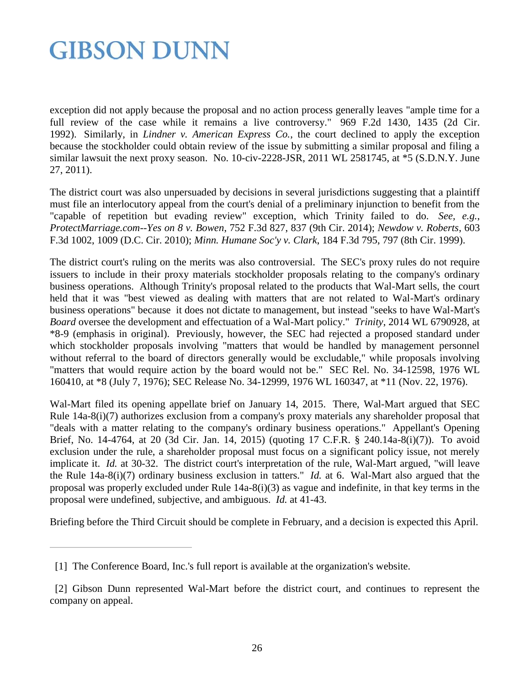exception did not apply because the proposal and no action process generally leaves "ample time for a full review of the case while it remains a live controversy." 969 F.2d 1430, 1435 (2d Cir. 1992). Similarly, in *Lindner v. American Express Co.*, the court declined to apply the exception because the stockholder could obtain review of the issue by submitting a similar proposal and filing a similar lawsuit the next proxy season. No. 10-civ-2228-JSR, 2011 WL 2581745, at \*5 (S.D.N.Y. June 27, 2011).

The district court was also unpersuaded by decisions in several jurisdictions suggesting that a plaintiff must file an interlocutory appeal from the court's denial of a preliminary injunction to benefit from the "capable of repetition but evading review" exception, which Trinity failed to do. *See, e.g.*, *ProtectMarriage.com--Yes on 8 v. Bowen*, 752 F.3d 827, 837 (9th Cir. 2014); *Newdow v. Roberts*, 603 F.3d 1002, 1009 (D.C. Cir. 2010); *Minn. Humane Soc'y v. Clark*, 184 F.3d 795, 797 (8th Cir. 1999).

The district court's ruling on the merits was also controversial. The SEC's proxy rules do not require issuers to include in their proxy materials stockholder proposals relating to the company's ordinary business operations. Although Trinity's proposal related to the products that Wal-Mart sells, the court held that it was "best viewed as dealing with matters that are not related to Wal-Mart's ordinary business operations" because it does not dictate to management, but instead "seeks to have Wal-Mart's *Board* oversee the development and effectuation of a Wal-Mart policy." *Trinity*, 2014 WL 6790928, at \*8-9 (emphasis in original). Previously, however, the SEC had rejected a proposed standard under which stockholder proposals involving "matters that would be handled by management personnel without referral to the board of directors generally would be excludable," while proposals involving "matters that would require action by the board would not be." SEC Rel. No. 34-12598, 1976 WL 160410, at \*8 (July 7, 1976); SEC Release No. 34-12999, 1976 WL 160347, at \*11 (Nov. 22, 1976).

Wal-Mart filed its opening appellate brief on January 14, 2015. There, Wal-Mart argued that SEC Rule 14a-8(i)(7) authorizes exclusion from a company's proxy materials any shareholder proposal that "deals with a matter relating to the company's ordinary business operations." Appellant's Opening Brief, No. 14-4764, at 20 (3d Cir. Jan. 14, 2015) (quoting 17 C.F.R. § 240.14a-8(i)(7)). To avoid exclusion under the rule, a shareholder proposal must focus on a significant policy issue, not merely implicate it. *Id.* at 30-32. The district court's interpretation of the rule, Wal-Mart argued, "will leave the Rule 14a-8(i)(7) ordinary business exclusion in tatters." *Id.* at 6. Wal-Mart also argued that the proposal was properly excluded under Rule 14a-8(i)(3) as vague and indefinite, in that key terms in the proposal were undefined, subjective, and ambiguous. *Id.* at 41-43.

Briefing before the Third Circuit should be complete in February, and a decision is expected this April.

<sup>[1]</sup> The Conference Board, Inc.'s full report is available at the organization's website.

 <sup>[2]</sup> Gibson Dunn represented Wal-Mart before the district court, and continues to represent the company on appeal.